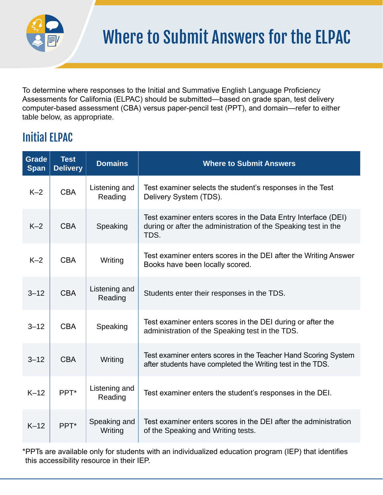

To determine where responses to the Initial and Summative English Language Proficiency Assessments for California (ELPAC) should be submitted—based on grade span, test delivery computer-based assessment (CBA) versus paper-pencil test (PPT), and domain—refer to either table below, as appropriate.

## Initial ELPAC

| <b>Grade</b><br><b>Span</b> | <b>Test</b><br><b>Delivery</b> | <b>Domains</b>           | <b>Where to Submit Answers</b>                                                                                                          |
|-----------------------------|--------------------------------|--------------------------|-----------------------------------------------------------------------------------------------------------------------------------------|
| $K-2$                       | <b>CBA</b>                     | Listening and<br>Reading | Test examiner selects the student's responses in the Test<br>Delivery System (TDS).                                                     |
| $K-2$                       | <b>CBA</b>                     | Speaking                 | Test examiner enters scores in the Data Entry Interface (DEI)<br>during or after the administration of the Speaking test in the<br>TDS. |
| $K-2$                       | <b>CBA</b>                     | Writing                  | Test examiner enters scores in the DEI after the Writing Answer<br>Books have been locally scored.                                      |
| $3 - 12$                    | <b>CBA</b>                     | Listening and<br>Reading | Students enter their responses in the TDS.                                                                                              |
| $3 - 12$                    | <b>CBA</b>                     | Speaking                 | Test examiner enters scores in the DEI during or after the<br>administration of the Speaking test in the TDS.                           |
| $3 - 12$                    | <b>CBA</b>                     | Writing                  | Test examiner enters scores in the Teacher Hand Scoring System<br>after students have completed the Writing test in the TDS.            |
| $K-12$                      | PPT*                           | Listening and<br>Reading | Test examiner enters the student's responses in the DEI.                                                                                |
| $K-12$                      | PPT*                           | Speaking and<br>Writing  | Test examiner enters scores in the DEI after the administration<br>of the Speaking and Writing tests.                                   |

\*PPTs are available only for students with an individualized education program (IEP) that identifies this accessibility resource in their IEP.